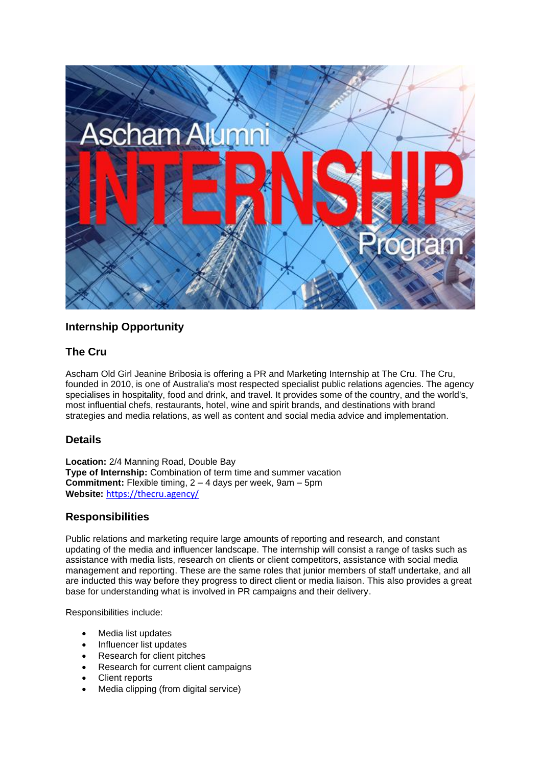

# **Internship Opportunity**

## **The Cru**

Ascham Old Girl Jeanine Bribosia is offering a PR and Marketing Internship at The Cru. The Cru, founded in 2010, is one of Australia's most respected specialist public relations agencies. The agency specialises in hospitality, food and drink, and travel. It provides some of the country, and the world's, most influential chefs, restaurants, hotel, wine and spirit brands, and destinations with brand strategies and media relations, as well as content and social media advice and implementation.

### **Details**

**Location:** 2/4 Manning Road, Double Bay **Type of Internship:** Combination of term time and summer vacation **Commitment:** Flexible timing, 2 – 4 days per week, 9am – 5pm **Website:** <https://thecru.agency/>

### **Responsibilities**

Public relations and marketing require large amounts of reporting and research, and constant updating of the media and influencer landscape. The internship will consist a range of tasks such as assistance with media lists, research on clients or client competitors, assistance with social media management and reporting. These are the same roles that junior members of staff undertake, and all are inducted this way before they progress to direct client or media liaison. This also provides a great base for understanding what is involved in PR campaigns and their delivery.

Responsibilities include:

- Media list updates
- Influencer list updates
- Research for client pitches
- Research for current client campaigns
- Client reports
- Media clipping (from digital service)